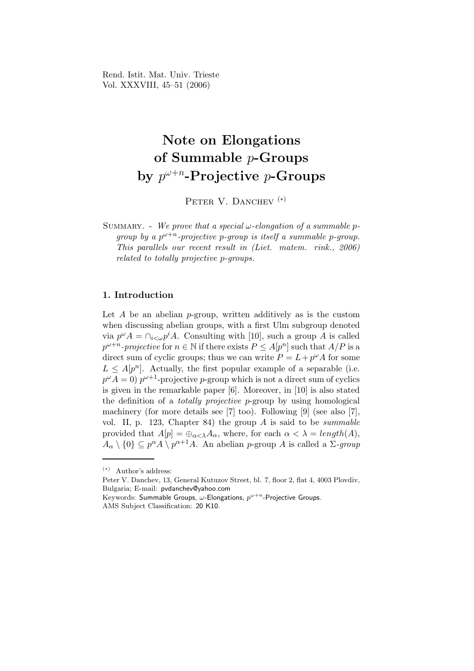Rend. Istit. Mat. Univ. Trieste Vol. XXXVIII, 45–51 (2006)

# Note on Elongations of Summable p-Groups by  $p^{\omega+n}$ -Projective p-Groups

PETER V. DANCHEV<sup>(\*)</sup>

SUMMARY. - We prove that a special  $\omega$ -elongation of a summable pgroup by a  $p^{\omega+n}$ -projective p-group is itself a summable p-group. This parallels our recent result in (Liet. matem. rink., 2006) related to totally projective p-groups.

## 1. Introduction

Let  $A$  be an abelian  $p$ -group, written additively as is the custom when discussing abelian groups, with a first Ulm subgroup denoted via  $p^{\omega} A = \bigcap_{i \leq \omega} p^i A$ . Consulting with [10], such a group A is called  $p^{\omega+n}$ -projective for  $n \in \mathbb{N}$  if there exists  $P \leq A[p^n]$  such that  $A/P$  is a direct sum of cyclic groups; thus we can write  $P = L + p^{\omega} A$  for some  $L \leq A[p^n]$ . Actually, the first popular example of a separable (i.e.  $p^{\omega}A = 0$   $p^{\omega+1}$ -projective p-group which is not a direct sum of cyclics is given in the remarkable paper [6]. Moreover, in [10] is also stated the definition of a totally projective p-group by using homological machinery (for more details see [7] too). Following [9] (see also [7], vol. II, p. 123, Chapter 84) the group  $\tilde{A}$  is said to be *summable* provided that  $A[p] = \bigoplus_{\alpha < \lambda} A_{\alpha}$ , where, for each  $\alpha < \lambda = length(A)$ ,  $A_{\alpha} \setminus \{0\} \subseteq p^{\alpha}A \setminus p^{\alpha+1}A$ . An abelian p-group A is called a  $\Sigma$ -group

Peter V. Danchev, 13, General Kutuzov Street, bl. 7, floor 2, flat 4, 4003 Plovdiv, Bulgaria; E-mail: pvdanchev@yahoo.com

<sup>(</sup>∗) Author's address:

Keywords: Summable Groups,  $\omega$ -Elongations,  $p^{\omega+n}$ -Projective Groups. AMS Subject Classification: 20 K10.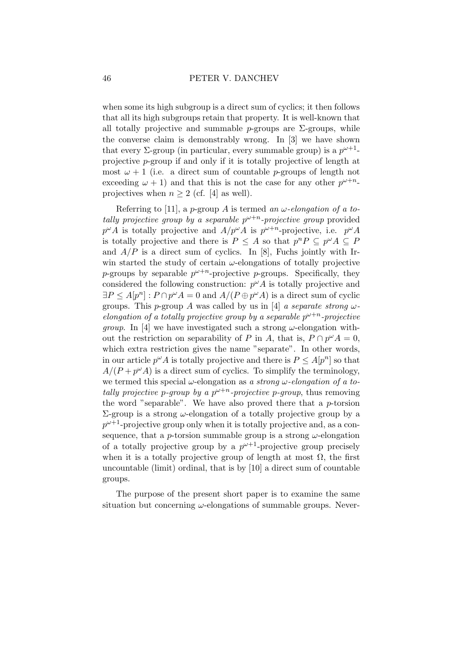when some its high subgroup is a direct sum of cyclics; it then follows that all its high subgroups retain that property. It is well-known that all totally projective and summable p-groups are  $\Sigma$ -groups, while the converse claim is demonstrably wrong. In [3] we have shown that every  $\Sigma$ -group (in particular, every summable group) is a  $p^{\omega+1}$ projective p-group if and only if it is totally projective of length at most  $\omega + 1$  (i.e. a direct sum of countable *p*-groups of length not exceeding  $\omega + 1$ ) and that this is not the case for any other  $p^{\omega+n}$ . projectives when  $n \geq 2$  (cf. [4] as well).

Referring to [11], a p-group A is termed an  $\omega$ -elongation of a totally projective group by a separable  $p^{\omega+n}$ -projective group provided  $p^{\omega}A$  is totally projective and  $A/p^{\omega}A$  is  $p^{\omega+n}$ -projective, i.e.  $p^{\omega}A$ is totally projective and there is  $P \leq A$  so that  $p^n P \subseteq p^{\omega} A \subseteq P$ and  $A/P$  is a direct sum of cyclics. In [8], Fuchs jointly with Irwin started the study of certain  $\omega$ -elongations of totally projective *p*-groups by separable  $p^{\omega+n}$ -projective *p*-groups. Specifically, they considered the following construction:  $p^{\omega}A$  is totally projective and  $\exists P \leq A[p^n] : P \cap p^{\omega}A = 0$  and  $A/(P \oplus p^{\omega}A)$  is a direct sum of cyclic groups. This p-group A was called by us in [4] a separate strong  $\omega$ elongation of a totally projective group by a separable  $p^{\omega+n}$ -projective *group*. In [4] we have investigated such a strong  $\omega$ -elongation without the restriction on separability of P in A, that is,  $P \cap p^{\omega} A = 0$ , which extra restriction gives the name "separate". In other words, in our article  $p^{\omega} A$  is totally projective and there is  $P \leq A[p^n]$  so that  $A/(P + p^{\omega}A)$  is a direct sum of cyclics. To simplify the terminology, we termed this special  $\omega$ -elongation as a strong  $\omega$ -elongation of a totally projective p-group by a  $p^{\omega+n}$ -projective p-group, thus removing the word "separable". We have also proved there that a  $p$ -torsion  $\Sigma$ -group is a strong  $ω$ -elongation of a totally projective group by a  $p^{\omega+1}$ -projective group only when it is totally projective and, as a consequence, that a p-torsion summable group is a strong  $\omega$ -elongation of a totally projective group by a  $p^{\omega+1}$ -projective group precisely when it is a totally projective group of length at most  $\Omega$ , the first uncountable (limit) ordinal, that is by [10] a direct sum of countable groups.

The purpose of the present short paper is to examine the same situation but concerning  $\omega$ -elongations of summable groups. Never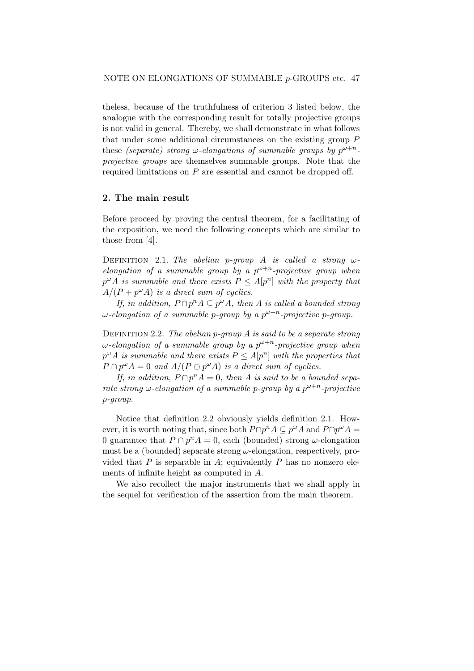theless, because of the truthfulness of criterion 3 listed below, the analogue with the corresponding result for totally projective groups is not valid in general. Thereby, we shall demonstrate in what follows that under some additional circumstances on the existing group P these (separate) strong  $\omega$ -elongations of summable groups by  $p^{\omega+n}$ projective groups are themselves summable groups. Note that the required limitations on P are essential and cannot be dropped off.

### 2. The main result

Before proceed by proving the central theorem, for a facilitating of the exposition, we need the following concepts which are similar to those from [4].

DEFINITION 2.1. The abelian p-group A is called a strong  $\omega$ elongation of a summable group by a  $p^{\omega+n}$ -projective group when  $p^{\omega} A$  is summable and there exists  $P \leq A[p^n]$  with the property that  $A/(P + p^{\omega}A)$  is a direct sum of cyclics.

If, in addition,  $P \cap p^n A \subseteq p^{\omega} A$ , then A is called a bounded strong  $\omega$ -elongation of a summable p-group by a  $p^{\omega+n}$ -projective p-group.

DEFINITION 2.2. The abelian  $p$ -group  $A$  is said to be a separate strong  $\omega$ -elongation of a summable group by a  $p^{\omega+n}$ -projective group when  $p^{\omega}A$  is summable and there exists  $P \leq A[p^n]$  with the properties that  $P \cap p^{\omega} A = 0$  and  $A/(P \oplus p^{\omega} A)$  is a direct sum of cyclics.

If, in addition,  $P \cap p^n A = 0$ , then A is said to be a bounded separate strong  $\omega$ -elongation of a summable p-group by a  $p^{\omega+n}$ -projective p-group.

Notice that definition 2.2 obviously yields definition 2.1. However, it is worth noting that, since both  $P \cap p^n A \subseteq p^{\omega} A$  and  $P \cap p^{\omega} A =$ 0 guarantee that  $P \cap p^n A = 0$ , each (bounded) strong  $\omega$ -elongation must be a (bounded) separate strong  $\omega$ -elongation, respectively, provided that  $P$  is separable in  $A$ ; equivalently  $P$  has no nonzero elements of infinite height as computed in A.

We also recollect the major instruments that we shall apply in the sequel for verification of the assertion from the main theorem.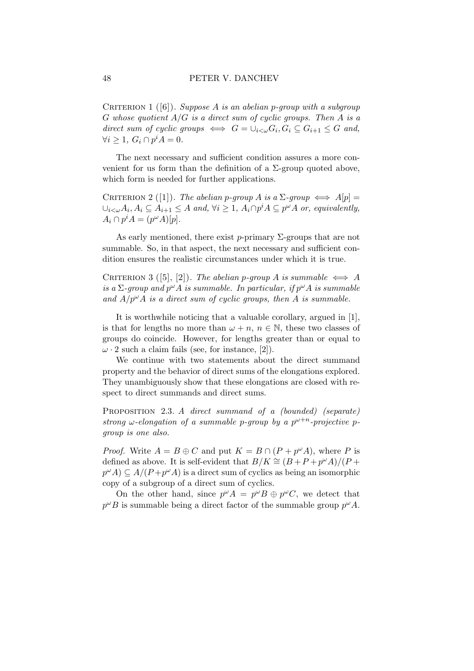CRITERION 1 ([6]). Suppose A is an abelian p-group with a subgroup G whose quotient  $A/G$  is a direct sum of cyclic groups. Then A is a direct sum of cyclic groups  $\iff G = \bigcup_{i < \omega} G_i, G_i \subseteq G_{i+1} \leq G$  and,  $\forall i \geq 1, G_i \cap p^i A = 0.$ 

The next necessary and sufficient condition assures a more convenient for us form than the definition of a  $\Sigma$ -group quoted above, which form is needed for further applications.

CRITERION 2 ([1]). The abelian p-group A is a  $\Sigma$ -group  $\iff$   $A[p] =$  $\bigcup_{i<\omega} A_i, A_i \subseteq \overrightarrow{A}_{i+1} \leq A$  and,  $\forall i \geq 1$ ,  $\overrightarrow{A}_i \cap p^i A \subseteq p^{\omega} A$  or, equivalently,  $A_i \cap p^i A = (p^{\omega} A)[p].$ 

As early mentioned, there exist p-primary  $\Sigma$ -groups that are not summable. So, in that aspect, the next necessary and sufficient condition ensures the realistic circumstances under which it is true.

CRITERION 3 ([5], [2]). The abelian p-group A is summable  $\iff$  A is a  $\Sigma$ -group and  $p^{\omega}A$  is summable. In particular, if  $p^{\omega}A$  is summable and  $A/p^{\omega}A$  is a direct sum of cyclic groups, then A is summable.

It is worthwhile noticing that a valuable corollary, argued in [1], is that for lengths no more than  $\omega + n$ ,  $n \in \mathbb{N}$ , these two classes of groups do coincide. However, for lengths greater than or equal to  $\omega$  · 2 such a claim fails (see, for instance, [2]).

We continue with two statements about the direct summand property and the behavior of direct sums of the elongations explored. They unambiguously show that these elongations are closed with respect to direct summands and direct sums.

PROPOSITION 2.3. A direct summand of a (bounded) (separate) strong  $\omega$ -elongation of a summable p-group by a  $p^{\omega+n}$ -projective pgroup is one also.

*Proof.* Write  $A = B \oplus C$  and put  $K = B \cap (P + p^{\omega}A)$ , where P is defined as above. It is self-evident that  $B/K \cong (B+P+p^{\omega}A)/(P+$  $p^{\omega}A \subseteq A/(P + p^{\omega}A)$  is a direct sum of cyclics as being an isomorphic copy of a subgroup of a direct sum of cyclics.

On the other hand, since  $p^{\omega}A = p^{\omega}B \oplus p^{\omega}C$ , we detect that  $p^{\omega}B$  is summable being a direct factor of the summable group  $p^{\omega}A$ .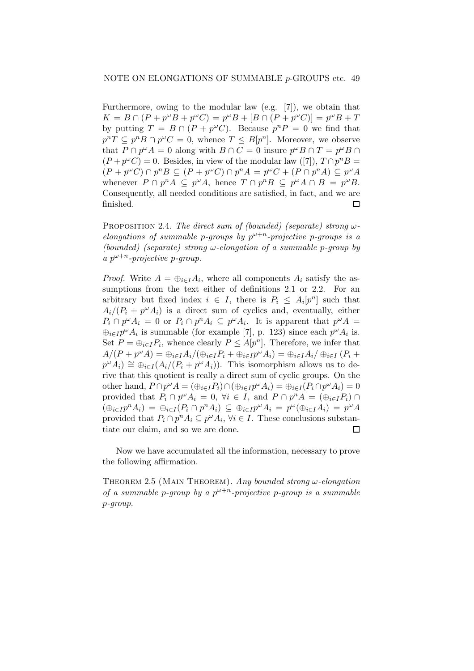Furthermore, owing to the modular law (e.g. [7]), we obtain that  $K = B \cap (P + p^{\omega}B + p^{\omega}C) = p^{\omega}B + [B \cap (P + p^{\omega}C)] = p^{\omega}B + T$ by putting  $T = B \cap (P + p^{\omega}C)$ . Because  $p^{n}P = 0$  we find that  $p^{n}T \subseteq p^{n}B \cap p^{\omega}C = 0$ , whence  $T \subseteq B[p^{n}]$ . Moreover, we observe that  $P \cap p^{\omega}A = 0$  along with  $B \cap C = 0$  insure  $p^{\omega}B \cap T = p^{\omega}B \cap T$  $(P + p^{\omega}C) = 0$ . Besides, in view of the modular law ([7]),  $T \cap p^{n}B =$  $(P + p^{\omega}C) \cap p^{n}B \subseteq (P + p^{\omega}C) \cap p^{n}A = p^{\omega}C + (P \cap p^{n}A) \subseteq p^{\omega}A$ whenever  $P \cap p^n A \subseteq p^{\omega} A$ , hence  $T \cap p^n B \subseteq p^{\omega} A \cap B = p^{\omega} B$ . Consequently, all needed conditions are satisfied, in fact, and we are finished.  $\Box$ 

PROPOSITION 2.4. The direct sum of (bounded) (separate) strong  $\omega$ elongations of summable p-groups by  $p^{\omega+n}$ -projective p-groups is a (bounded) (separate) strong  $\omega$ -elongation of a summable p-group by a  $p^{\omega+n}$ -projective p-group.

*Proof.* Write  $A = \bigoplus_{i \in I} A_i$ , where all components  $A_i$  satisfy the assumptions from the text either of definitions 2.1 or 2.2. For an arbitrary but fixed index  $i \in I$ , there is  $P_i \leq A_i[p^n]$  such that  $A_i/(P_i + p^{\omega}A_i)$  is a direct sum of cyclics and, eventually, either  $P_i \cap p^{\omega} A_i = 0$  or  $P_i \cap p^n A_i \subseteq p^{\omega} A_i$ . It is apparent that  $p^{\omega} A =$  $\bigoplus_{i\in I} p^{\omega} A_i$  is summable (for example [7], p. 123) since each  $p^{\omega} A_i$  is. Set  $P = \bigoplus_{i \in I} P_i$ , whence clearly  $P \leq A[p^n]$ . Therefore, we infer that  $A/(P + p^{\omega}A) = \bigoplus_{i \in I} A_i/(\bigoplus_{i \in I} P_i + \bigoplus_{i \in I} p^{\omega}A_i) = \bigoplus_{i \in I} A_i/\bigoplus_{i \in I} (P_i + p^{\omega}A_i)$  $p^{\omega} A_i) \cong \bigoplus_{i \in I} (A_i/(P_i + p^{\omega} A_i)).$  This isomorphism allows us to derive that this quotient is really a direct sum of cyclic groups. On the other hand,  $P \cap p^{\omega} A = (\bigoplus_{i \in I} P_i) \cap (\bigoplus_{i \in I} p^{\omega} A_i) = \bigoplus_{i \in I} (P_i \cap p^{\omega} A_i) = 0$ provided that  $P_i \cap p^{\omega} A_i = 0$ ,  $\forall i \in I$ , and  $P \cap p^n A = (\bigoplus_{i \in I} P_i) \cap$  $(\bigoplus_{i\in I}p^{n}A_{i}) = \bigoplus_{i\in I}(P_{i}\cap p^{n}A_{i}) \subseteq \bigoplus_{i\in I}p^{\omega}A_{i} = p^{\omega}(\bigoplus_{i\in I}A_{i}) = p^{\omega}A$ provided that  $P_i \cap p^n A_i \subseteq p^{\omega} A_i$ ,  $\forall i \in I$ . These conclusions substantiate our claim, and so we are done.  $\Box$ 

Now we have accumulated all the information, necessary to prove the following affirmation.

THEOREM 2.5 (MAIN THEOREM). Any bounded strong  $\omega$ -elongation of a summable p-group by a  $p^{\omega+n}$ -projective p-group is a summable p-group.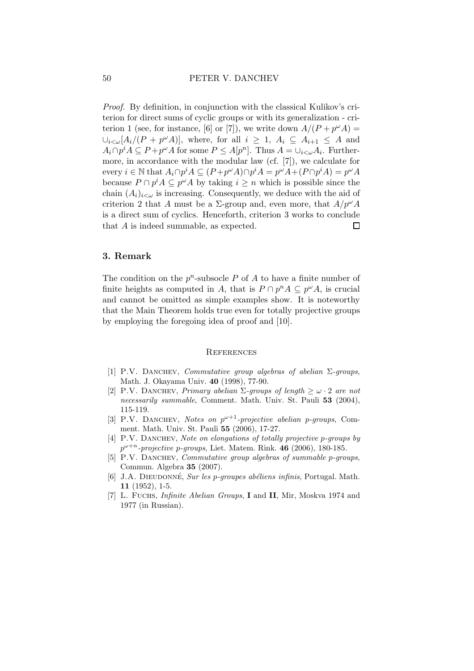Proof. By definition, in conjunction with the classical Kulikov's criterion for direct sums of cyclic groups or with its generalization - criterion 1 (see, for instance, [6] or [7]), we write down  $A/(P + p^{\omega}A) =$  $\bigcup_{i<\omega} [A_i/(P + p^{\omega}A)],$  where, for all  $i \geq 1$ ,  $A_i \subseteq A_{i+1} \leq A$  and  $A_i \cap p^i A \subseteq P + p^{\omega} A$  for some  $P \leq A[p^n]$ . Thus  $A = \cup_{i < \omega} A_i$ . Furthermore, in accordance with the modular law (cf. [7]), we calculate for every  $i \in \mathbb{N}$  that  $A_i \cap p^i A \subseteq (P + p^{\omega} A) \cap p^i A = p^{\omega} A + (P \cap p^i A) = p^{\omega} A$ because  $P \cap p^i A \subseteq p^{\omega} A$  by taking  $i \geq n$  which is possible since the chain  $(A_i)_{i\leq \omega}$  is increasing. Consequently, we deduce with the aid of criterion 2 that A must be a  $\Sigma$ -group and, even more, that  $A/p^{\omega}A$ is a direct sum of cyclics. Henceforth, criterion 3 works to conclude that  $A$  is indeed summable, as expected.  $\Box$ 

## 3. Remark

The condition on the  $p^n$ -subsocle P of A to have a finite number of finite heights as computed in A, that is  $P \cap p^n A \subseteq p^{\omega} A$ , is crucial and cannot be omitted as simple examples show. It is noteworthy that the Main Theorem holds true even for totally projective groups by employing the foregoing idea of proof and [10].

#### **REFERENCES**

- [1] P.V. DANCHEV, Commutative group algebras of abelian  $\Sigma$ -groups, Math. J. Okayama Univ. 40 (1998), 77-90.
- [2] P.V. DANCHEV, Primary abelian  $\Sigma$ -groups of length  $> \omega \cdot 2$  are not necessarily summable, Comment. Math. Univ. St. Pauli 53 (2004), 115-119.
- [3] P.V. DANCHEV, Notes on  $p^{\omega+1}$ -projective abelian p-groups, Comment. Math. Univ. St. Pauli 55 (2006), 17-27.
- [4] P.V. DANCHEV, Note on elongations of totally projective p-groups by  $p^{\omega+n}$ -projective p-groups, Liet. Matem. Rink. 46 (2006), 180-185.
- [5] P.V. DANCHEV, *Commutative group algebras of summable p-groups*, Commun. Algebra 35 (2007).
- [6] J.A. DIEUDONNÉ, Sur les p-groupes abéliens infinis, Portugal. Math. 11 (1952), 1-5.
- [7] L. Fuchs, *Infinite Abelian Groups*, **I** and **II**, Mir, Moskva 1974 and 1977 (in Russian).